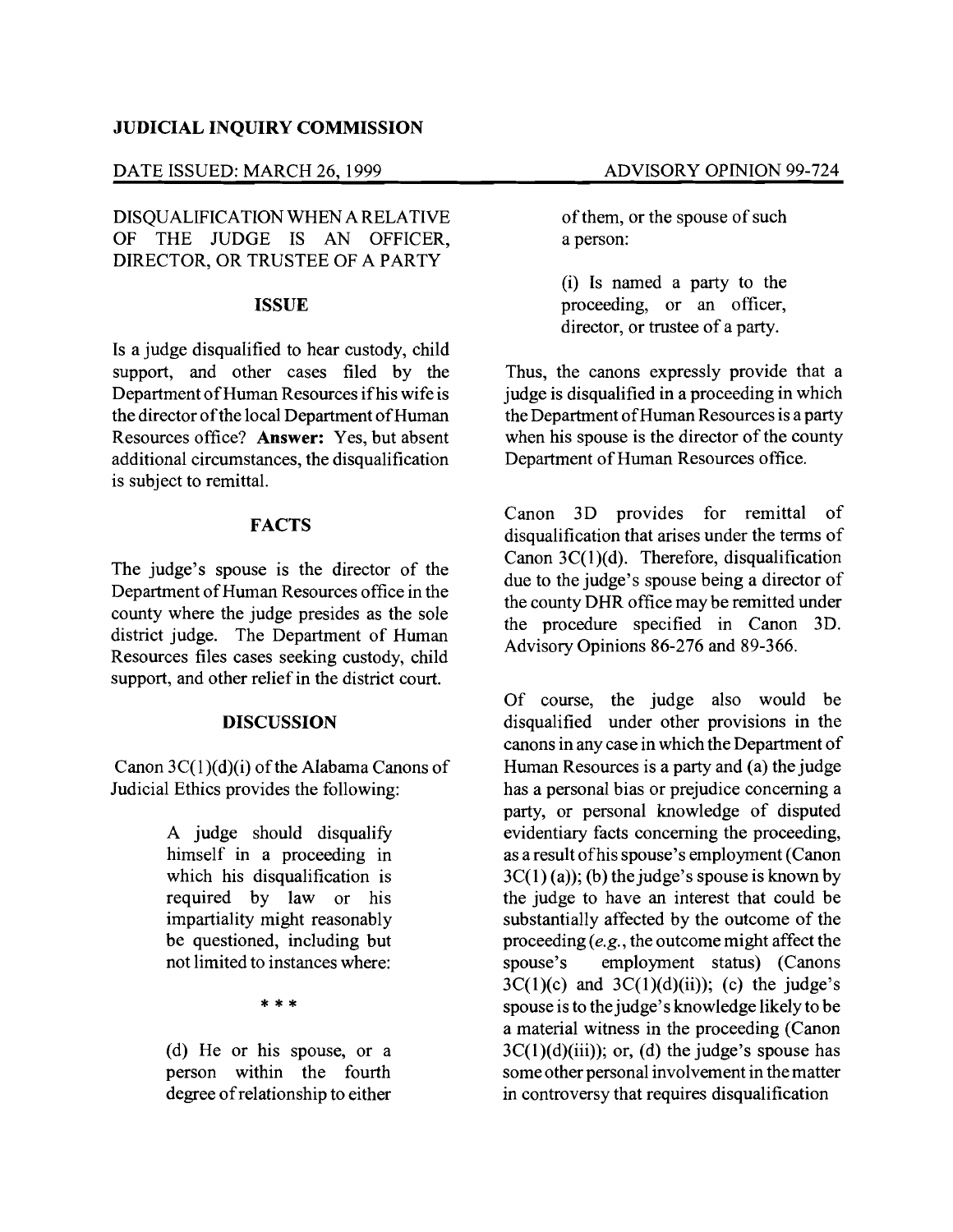## **JUDICIAL INQUIRY COMMISSION**

### DATE ISSUED: MARCH 26, 1999 ADVISORY OPINION 99-724

DISQUALIFICATION WHEN A RELATIVE OF THE JUDGE IS AN OFFICER, DIRECTOR, OR TRUSTEE OF A PARTY

#### **ISSUE**

Is a judge disqualified to hear custody, child support, and other cases filed by the Department of Human Resources if his wife is the director of the local Department of Human Resources office? **Answer:** Yes, but absent additional circumstances, the disqualification is subject to remittal.

# **FACTS**

The judge's spouse is the director of the Department of Human Resources office in the county where the judge presides as the sole district judge. The Department of Human Resources files cases seeking custody, child support, and other relief in the district court.

### **DISCUSSION**

Canon  $3C(1)(d)(i)$  of the Alabama Canons of Judicial Ethics provides the following:

> A judge should disqualify himself in a proceeding in which his disqualification is required by law or his impartiality might reasonably be questioned, including but not limited to instances where:

> > \*\*\*

(d) He or his spouse, or a person within the fourth degree ofrelationship to either of them, or the spouse of such a person:

(i) Is named a party to the proceeding, or an officer, director, or trustee of a party.

Thus, the canons expressly provide that a judge is disqualified in a proceeding in which the Department of Human Resources is a party when his spouse is the director of the county Department of Human Resources office.

Canon 3D provides for remittal of disqualification that arises under the terms of Canon 3C(1)(d). Therefore, disqualification due to the judge's spouse being a director of the county DHR office may be remitted under the procedure specified in Canon 3D. Advisory Opinions 86-276 and 89-366.

Of course, the judge also would be disqualified under other provisions in the canons in any case in which the Department of Human Resources is a party and (a) the judge has a personal bias or prejudice concerning a party, or personal knowledge of disputed evidentiary facts concerning the proceeding, as a result ofhis spouse's employment (Canon  $3C(1)$  (a)); (b) the judge's spouse is known by the judge to have an interest that could be substantially affected by the outcome of the proceeding *(e.g.,* the outcome might affect the spouse's employment status) (Canons  $3C(1)(c)$  and  $3C(1)(d)(ii)$ ; (c) the judge's spouse is to the judge's knowledge likely to be a material witness in the proceeding (Canon  $3C(1)(d)(iii)$ ; or, (d) the judge's spouse has some other personal involvement in the matter in controversy that requires disqualification